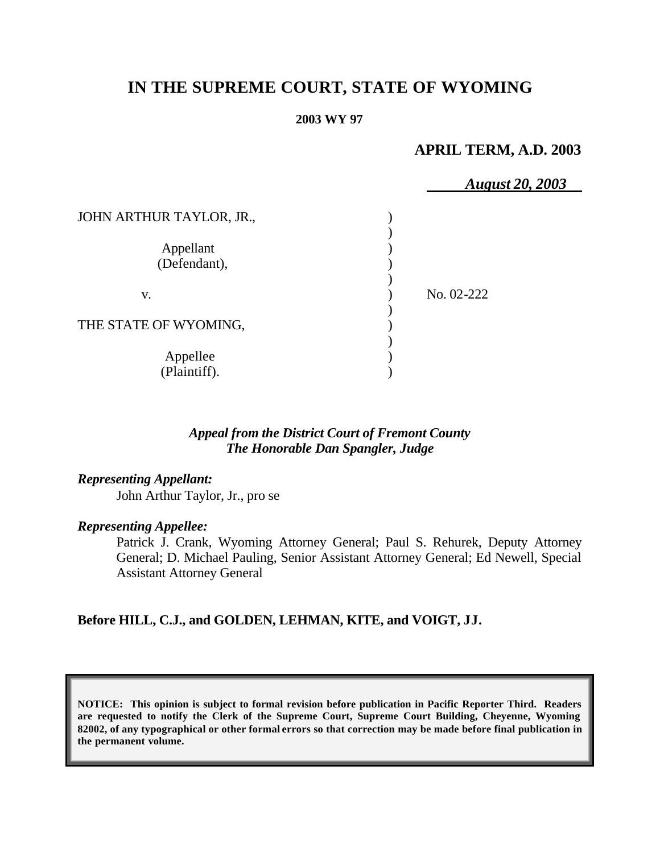# **IN THE SUPREME COURT, STATE OF WYOMING**

#### **2003 WY 97**

## **APRIL TERM, A.D. 2003**

|                           | <b>August 20, 2003</b> |  |
|---------------------------|------------------------|--|
| JOHN ARTHUR TAYLOR, JR.,  |                        |  |
| Appellant<br>(Defendant), |                        |  |
| V.                        | No. 02-222             |  |
| THE STATE OF WYOMING,     |                        |  |
| Appellee<br>(Plaintiff).  |                        |  |

#### *Appeal from the District Court of Fremont County The Honorable Dan Spangler, Judge*

*Representing Appellant:*

John Arthur Taylor, Jr., pro se

#### *Representing Appellee:*

Patrick J. Crank, Wyoming Attorney General; Paul S. Rehurek, Deputy Attorney General; D. Michael Pauling, Senior Assistant Attorney General; Ed Newell, Special Assistant Attorney General

### **Before HILL, C.J., and GOLDEN, LEHMAN, KITE, and VOIGT, JJ.**

**NOTICE: This opinion is subject to formal revision before publication in Pacific Reporter Third. Readers are requested to notify the Clerk of the Supreme Court, Supreme Court Building, Cheyenne, Wyoming 82002, of any typographical or other formal errors so that correction may be made before final publication in the permanent volume.**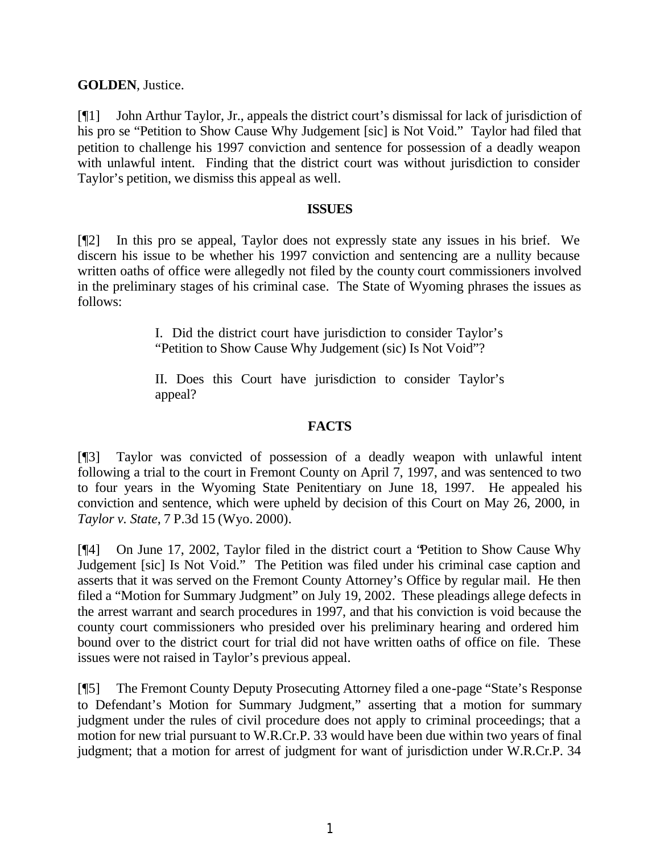**GOLDEN**, Justice.

[¶1] John Arthur Taylor, Jr., appeals the district court's dismissal for lack of jurisdiction of his pro se "Petition to Show Cause Why Judgement [sic] is Not Void." Taylor had filed that petition to challenge his 1997 conviction and sentence for possession of a deadly weapon with unlawful intent. Finding that the district court was without jurisdiction to consider Taylor's petition, we dismiss this appeal as well.

#### **ISSUES**

[¶2] In this pro se appeal, Taylor does not expressly state any issues in his brief. We discern his issue to be whether his 1997 conviction and sentencing are a nullity because written oaths of office were allegedly not filed by the county court commissioners involved in the preliminary stages of his criminal case. The State of Wyoming phrases the issues as follows:

> I. Did the district court have jurisdiction to consider Taylor's "Petition to Show Cause Why Judgement (sic) Is Not Void"?

> II. Does this Court have jurisdiction to consider Taylor's appeal?

### **FACTS**

[¶3] Taylor was convicted of possession of a deadly weapon with unlawful intent following a trial to the court in Fremont County on April 7, 1997, and was sentenced to two to four years in the Wyoming State Penitentiary on June 18, 1997. He appealed his conviction and sentence, which were upheld by decision of this Court on May 26, 2000, in *Taylor v. State*, 7 P.3d 15 (Wyo. 2000).

[¶4] On June 17, 2002, Taylor filed in the district court a "Petition to Show Cause Why Judgement [sic] Is Not Void." The Petition was filed under his criminal case caption and asserts that it was served on the Fremont County Attorney's Office by regular mail. He then filed a "Motion for Summary Judgment" on July 19, 2002. These pleadings allege defects in the arrest warrant and search procedures in 1997, and that his conviction is void because the county court commissioners who presided over his preliminary hearing and ordered him bound over to the district court for trial did not have written oaths of office on file. These issues were not raised in Taylor's previous appeal.

[¶5] The Fremont County Deputy Prosecuting Attorney filed a one-page "State's Response to Defendant's Motion for Summary Judgment," asserting that a motion for summary judgment under the rules of civil procedure does not apply to criminal proceedings; that a motion for new trial pursuant to W.R.Cr.P. 33 would have been due within two years of final judgment; that a motion for arrest of judgment for want of jurisdiction under W.R.Cr.P. 34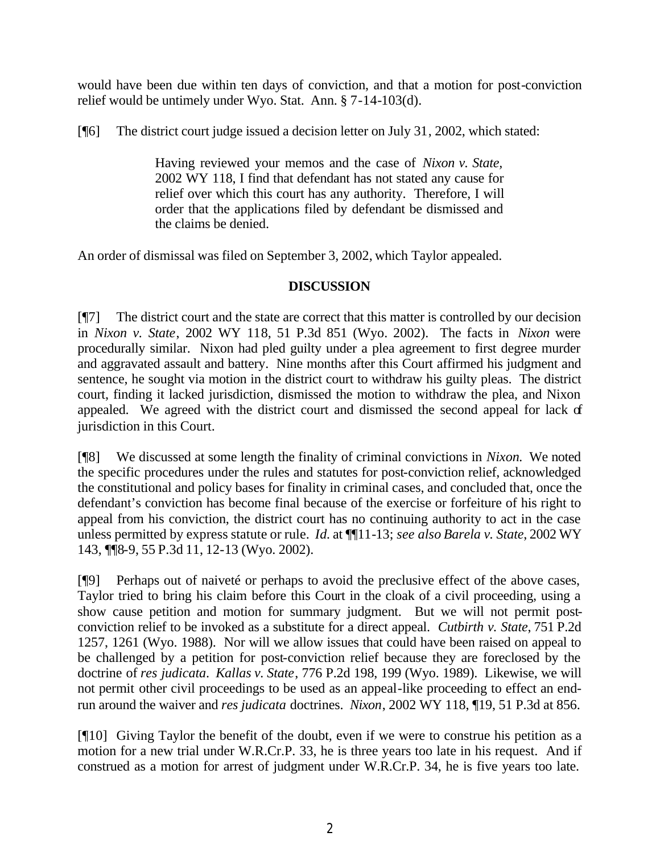would have been due within ten days of conviction, and that a motion for post-conviction relief would be untimely under Wyo. Stat. Ann. § 7-14-103(d).

[¶6] The district court judge issued a decision letter on July 31, 2002, which stated:

Having reviewed your memos and the case of *Nixon v. State,*  2002 WY 118, I find that defendant has not stated any cause for relief over which this court has any authority. Therefore, I will order that the applications filed by defendant be dismissed and the claims be denied.

An order of dismissal was filed on September 3, 2002, which Taylor appealed.

### **DISCUSSION**

[¶7] The district court and the state are correct that this matter is controlled by our decision in *Nixon v. State*, 2002 WY 118, 51 P.3d 851 (Wyo. 2002). The facts in *Nixon* were procedurally similar. Nixon had pled guilty under a plea agreement to first degree murder and aggravated assault and battery. Nine months after this Court affirmed his judgment and sentence, he sought via motion in the district court to withdraw his guilty pleas. The district court, finding it lacked jurisdiction, dismissed the motion to withdraw the plea, and Nixon appealed. We agreed with the district court and dismissed the second appeal for lack of jurisdiction in this Court.

[¶8] We discussed at some length the finality of criminal convictions in *Nixon.* We noted the specific procedures under the rules and statutes for post-conviction relief, acknowledged the constitutional and policy bases for finality in criminal cases, and concluded that, once the defendant's conviction has become final because of the exercise or forfeiture of his right to appeal from his conviction, the district court has no continuing authority to act in the case unless permitted by express statute or rule. *Id.* at ¶¶11-13; *see also Barela v. State*, 2002 WY 143, ¶¶8-9, 55 P.3d 11, 12-13 (Wyo. 2002).

[¶9] Perhaps out of naiveté or perhaps to avoid the preclusive effect of the above cases, Taylor tried to bring his claim before this Court in the cloak of a civil proceeding, using a show cause petition and motion for summary judgment. But we will not permit postconviction relief to be invoked as a substitute for a direct appeal. *Cutbirth v. State*, 751 P.2d 1257, 1261 (Wyo. 1988). Nor will we allow issues that could have been raised on appeal to be challenged by a petition for post-conviction relief because they are foreclosed by the doctrine of *res judicata*. *Kallas v. State*, 776 P.2d 198, 199 (Wyo. 1989). Likewise, we will not permit other civil proceedings to be used as an appeal-like proceeding to effect an endrun around the waiver and *res judicata* doctrines. *Nixon*, 2002 WY 118, ¶19, 51 P.3d at 856.

[¶10] Giving Taylor the benefit of the doubt, even if we were to construe his petition as a motion for a new trial under W.R.Cr.P. 33, he is three years too late in his request. And if construed as a motion for arrest of judgment under W.R.Cr.P. 34, he is five years too late.